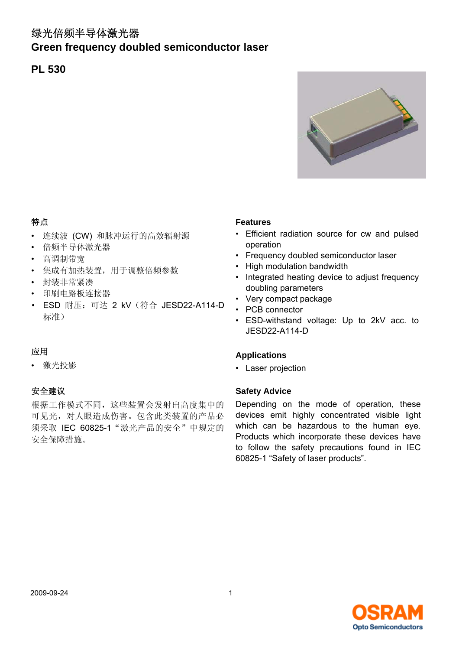# 绿光倍频半导体激光器

# **Green frequency doubled semiconductor laser**

# **PL 530**



### 特点

- 连续波 (CW) 和脉冲运行的高效辐射源
- 倍频半导体激光器
- 高调制带宽
- 集成有加热装置,用于调整倍频参数
- 封装非常紧凑
- 印刷电路板连接器
- ESD 耐压: 可达 2 kV (符合 JESD22-A114-D 标准)

#### 应用

• 激光投影

### 安全建议

根据工作模式不同,这些装置会发射出高度集中的 可见光,对人眼造成伤害。包含此类装置的产品必 须采取 IEC 60825-1 "激光产品的安全"中规定的 安全保障措施。

#### **Features**

- Efficient radiation source for cw and pulsed operation
- Frequency doubled semiconductor laser
- High modulation bandwidth
- Integrated heating device to adjust frequency doubling parameters
- Very compact package
- PCB connector
- ESD-withstand voltage: Up to 2kV acc. to JESD22-A114-D

#### **Applications**

• Laser projection

#### **Safety Advice**

Depending on the mode of operation, these devices emit highly concentrated visible light which can be hazardous to the human eye. Products which incorporate these devices have to follow the safety precautions found in IEC 60825-1 "Safety of laser products".

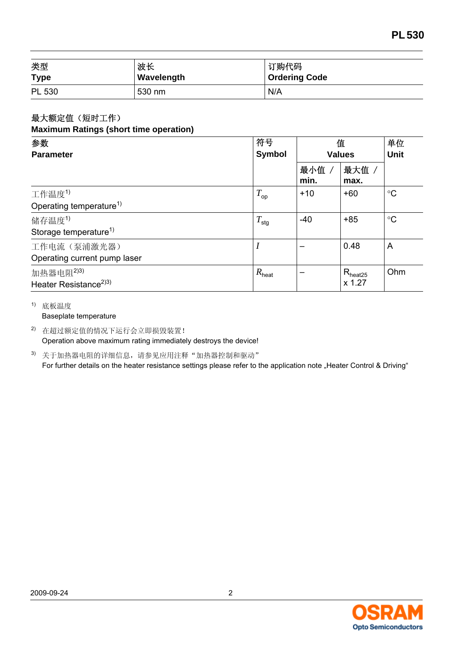| 类型          | 波长         | 订购代码                 |  |
|-------------|------------|----------------------|--|
| <b>Type</b> | Wavelength | <b>Ordering Code</b> |  |
| PL 530      | 530 nm     | N/A                  |  |

#### 最大额定值(短时工作) **Maximum Ratings (short time operation)**

| 参数                                                         | 符号                | 值<br><b>Values</b> |                               | 单位<br><b>Unit</b> |
|------------------------------------------------------------|-------------------|--------------------|-------------------------------|-------------------|
| <b>Parameter</b>                                           | <b>Symbol</b>     |                    |                               |                   |
|                                                            |                   | 最小值 /<br>min.      | 最大值<br>max.                   |                   |
| 工作温度1)                                                     | $T_{op}$          | $+10$              | $+60$                         | $\rm ^{\circ}C$   |
| Operating temperature <sup>1)</sup>                        |                   |                    |                               |                   |
| 储存温度1)                                                     | $T_{\text{stg}}$  | $-40$              | $+85$                         | $\rm ^{\circ}C$   |
| Storage temperature <sup>1)</sup>                          |                   |                    |                               |                   |
| 工作电流(泵浦激光器)                                                |                   |                    | 0.48                          | A                 |
| Operating current pump laser                               |                   |                    |                               |                   |
| 加热器电阻 <sup>2)3)</sup><br>Heater Resistance <sup>2)3)</sup> | $R_{\text{heat}}$ |                    | $R_{\text{heat25}}$<br>x 1.27 | Ohm               |

1) 底板温度

Baseplate temperature

2) 在超过额定值的情况下运行会立即损毁装置! Operation above maximum rating immediately destroys the device!

3) 关于加热器电阻的详细信息,请参见应用注释"加热器控制和驱动" For further details on the heater resistance settings please refer to the application note "Heater Control & Driving"

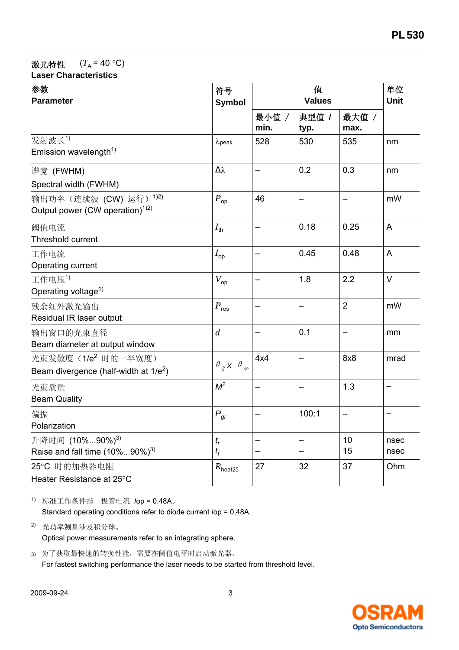# 激光特性  $(T_A = 40 \degree C)$

| <b>Laser Characteristics</b> |  |
|------------------------------|--|
|                              |  |

| 参数<br><b>Parameter</b>                                               | 符号<br><b>Symbol</b>                         | 值<br><b>Values</b> |                          |                | 单位<br><b>Unit</b> |
|----------------------------------------------------------------------|---------------------------------------------|--------------------|--------------------------|----------------|-------------------|
|                                                                      |                                             | 最小值 /<br>min.      | 典型值 /<br>typ.            | 最大值 /<br>max.  |                   |
| 发射波长1)<br>Emission wavelength <sup>1)</sup>                          | $\lambda$ peak                              | 528                | 530                      | 535            | nm                |
| 谱宽 (FWHM)<br>Spectral width (FWHM)                                   | Δλ                                          |                    | 0.2                      | 0.3            | nm                |
| 输出功率(连续波 (CW) 运行) 12)<br>Output power (CW operation) <sup>1)2)</sup> | $P_{\rm op}$                                | 46                 | —                        | -              | mW                |
| 阈值电流<br><b>Threshold current</b>                                     | $I_{\text{th}}$                             | -                  | 0.18                     | 0.25           | A                 |
| 工作电流<br>Operating current                                            | $I_{\text{op}}$                             |                    | 0.45                     | 0.48           | $\overline{A}$    |
| 工作电压1)<br>Operating voltage <sup>1)</sup>                            | $V_{op}$                                    |                    | 1.8                      | 2.2            | $\vee$            |
| 残余红外激光输出<br>Residual IR laser output                                 | $P_{\text{res}}$                            | -                  | -                        | $\overline{2}$ | mW                |
| 输出窗口的光束直径<br>Beam diameter at output window                          | $\boldsymbol{d}$                            |                    | 0.1                      |                | mm                |
| 光束发散度(1/e2 时的一半宽度)<br>Beam divergence (half-width at $1/e^2$ )       | $\theta_{\parallel} \times \theta_{\infty}$ | 4x4                | $\overline{\phantom{0}}$ | 8x8            | mrad              |
| 光束质量<br><b>Beam Quality</b>                                          | $M^2$                                       |                    |                          | 1.3            | -                 |
| 偏振<br>Polarization                                                   | $P_{gr}$                                    |                    | 100:1                    |                |                   |
| 升降时间 (10%90%) <sup>3)</sup><br>Raise and fall time $(10\%90\%)^3$    | $t_{r}$<br>$t_{\scriptscriptstyle{f}}$      |                    |                          | 10<br>15       | nsec<br>nsec      |
| 25°C 时的加热器电阻<br>Heater Resistance at 25°C                            | $R_{\text{heat25}}$                         | 27                 | 32                       | 37             | Ohm               |

1) 标准工作条件指二极管电流 *I*op = 0.48A。 Standard operating conditions refer to diode current *I*op = 0,48A.

2) 光功率测量涉及积分球。 Optical power measurements refer to an integrating sphere.

3) 为了获取最快速的转换性能,需要在阈值电平时启动激光器。 For fastest switching performance the laser needs to be started from threshold level.

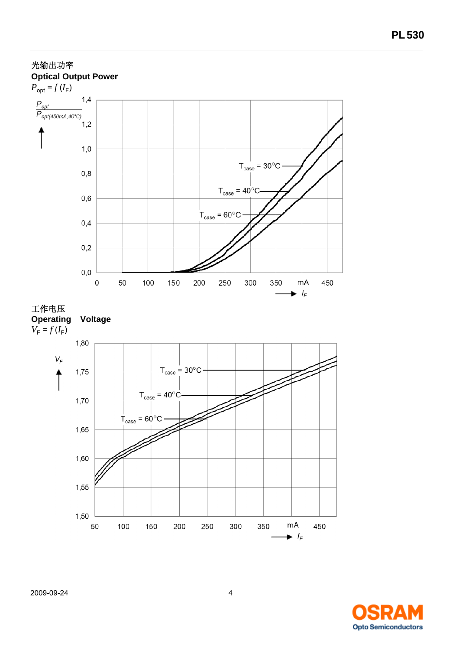

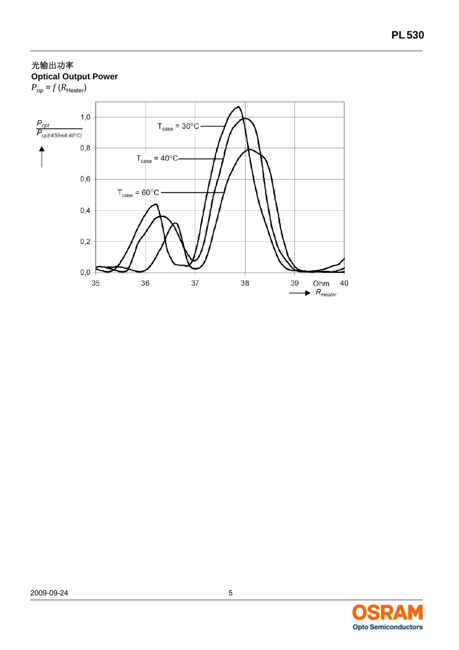# 光输出功率 **Optical Output Power**





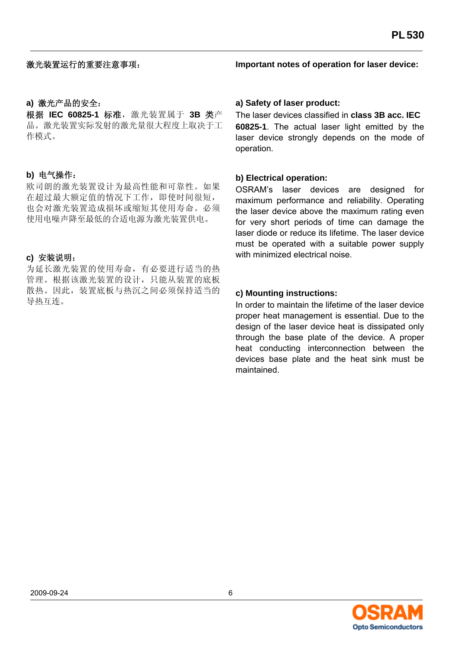#### **a)** 激光产品的安全:

根据 **IEC 60825-1** 标准,激光装置属于 **3B** 类产 品。激光装置实际发射的激光量很大程度上取决于工 作模式。

### **b)** 电气操作:

欧司朗的激光装置设计为最高性能和可靠性。如果 在超过最大额定值的情况下工作,即使时间很短, 也会对激光装置造成损坏或缩短其使用寿命。必须 使用电噪声降至最低的合适电源为激光装置供电。

### **c)** 安装说明:

为延长激光装置的使用寿命,有必要进行适当的热 管理。根据该激光装置的设计,只能从装置的底板 散热。因此,装置底板与热沉之间必须保持适当的 导热互连。

**Important notes of operation for laser device:**

#### **a) Safety of laser product:**

The laser devices classified in **class 3B acc. IEC 60825-1**. The actual laser light emitted by the laser device strongly depends on the mode of operation.

#### **b) Electrical operation:**

OSRAM's laser devices are designed for maximum performance and reliability. Operating the laser device above the maximum rating even for very short periods of time can damage the laser diode or reduce its lifetime. The laser device must be operated with a suitable power supply with minimized electrical noise.

### **c) Mounting instructions:**

In order to maintain the lifetime of the laser device proper heat management is essential. Due to the design of the laser device heat is dissipated only through the base plate of the device. A proper heat conducting interconnection between the devices base plate and the heat sink must be maintained.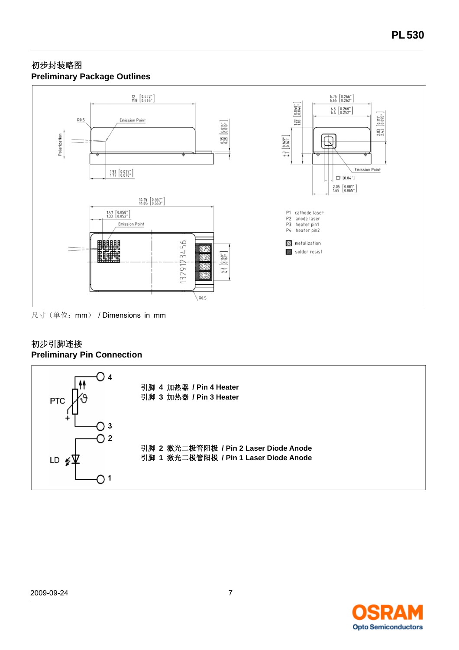### 初步封装略图 **Preliminary Package Outlines**



尺寸(单位: mm) / Dimensions in mm

### 初步引脚连接 **Preliminary Pin Connection**



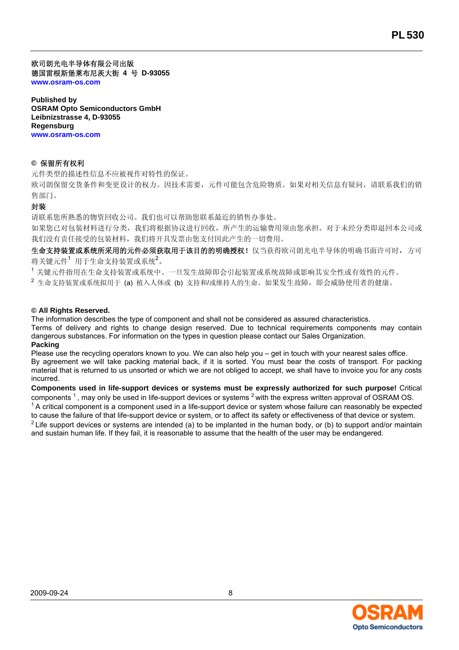欧司朗光电半导体有限公司出版 德国雷根斯堡莱布尼茨大街 **4** 号 **D-93055 www.osram-os.com**

**Published by OSRAM Opto Semiconductors GmbH Leibnizstrasse 4, D-93055 Regensburg www.osram-os.com**

#### **©** 保留所有权利

元件类型的描述性信息不应被视作对特性的保证。

欧司朗保留交货条件和变更设计的权力。因技术需要,元件可能包含危险物质。如果对相关信息有疑问,请联系我们的销 售部门。

#### 封装

请联系您所熟悉的物资回收公司。我们也可以帮助您联系最近的销售办事处。

如果您已对包装材料进行分类,我们将根据协议进行回收,所产生的运输费用须由您承担。对于未经分类即退回本公司或 我们没有责任接受的包装材料,我们将开具发票由您支付因此产生的一切费用。

生命支持装置或系统所采用的元件必须获取用于该目的的明确授权!仅当获得欧司朗光电半导体的明确书面许可时,方可 将关键元件<sup>1</sup> 用于生命支持装置或系统<sup>2</sup>。

<sup>1</sup>关键元件指用在生命支持装置或系统中、一旦发生故障即会引起装置或系统故障或影响其安全性或有效性的元件。

2 生命支持装置或系统拟用于 (a) 植入人体或 (b) 支持和/或维持人的生命。如果发生故障,即会威胁使用者的健康。

#### **© All Rights Reserved.**

The information describes the type of component and shall not be considered as assured characteristics. Terms of delivery and rights to change design reserved. Due to technical requirements components may contain dangerous substances. For information on the types in question please contact our Sales Organization. **Packing**

Please use the recycling operators known to you. We can also help you – get in touch with your nearest sales office. By agreement we will take packing material back, if it is sorted. You must bear the costs of transport. For packing material that is returned to us unsorted or which we are not obliged to accept, we shall have to invoice you for any costs incurred.

**Components used in life-support devices or systems must be expressly authorized for such purpose!** Critical components <sup>1</sup>, may only be used in life-support devices or systems <sup>2</sup> with the express written approval of OSRAM OS.  $1$  A critical component is a component used in a life-support device or system whose failure can reasonably be expected to cause the failure of that life-support device or system, or to affect its safety or effectiveness of that device or system. <sup>2</sup> Life support devices or systems are intended (a) to be implanted in the human body, or (b) to support and/or maintain and sustain human life. If they fail, it is reasonable to assume that the health of the user may be endangered.